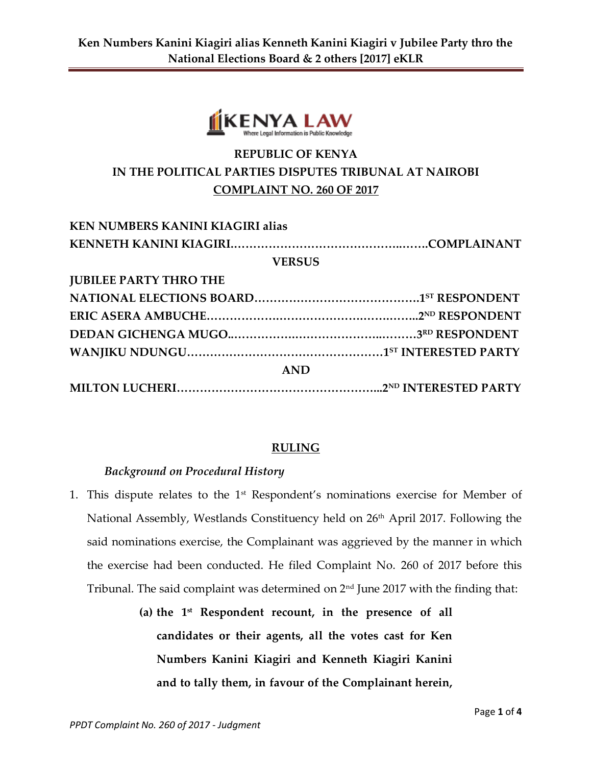

# **REPUBLIC OF KENYA IN THE POLITICAL PARTIES DISPUTES TRIBUNAL AT NAIROBI COMPLAINT NO. 260 OF 2017**

| <b>KEN NUMBERS KANINI KIAGIRI alias</b> |  |
|-----------------------------------------|--|
|                                         |  |
| <b>VERSUS</b>                           |  |
| <b>JUBILEE PARTY THRO THE</b>           |  |
|                                         |  |
|                                         |  |
|                                         |  |
|                                         |  |
| <b>AND</b>                              |  |
|                                         |  |

### **RULING**

#### *Background on Procedural History*

- 1. This dispute relates to the 1st Respondent's nominations exercise for Member of National Assembly, Westlands Constituency held on 26<sup>th</sup> April 2017. Following the said nominations exercise, the Complainant was aggrieved by the manner in which the exercise had been conducted. He filed Complaint No. 260 of 2017 before this Tribunal. The said complaint was determined on  $2<sup>nd</sup>$  June 2017 with the finding that:
	- **(a) the 1st Respondent recount, in the presence of all candidates or their agents, all the votes cast for Ken Numbers Kanini Kiagiri and Kenneth Kiagiri Kanini and to tally them, in favour of the Complainant herein,**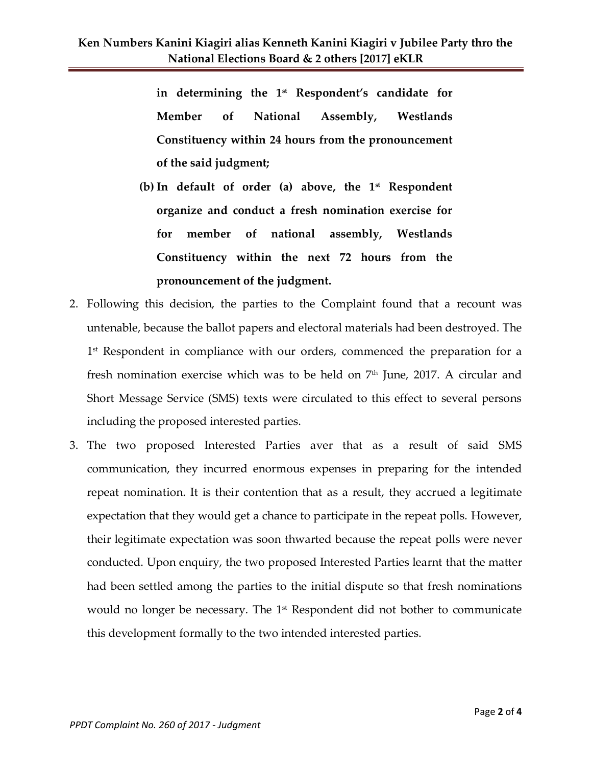**in determining the 1st Respondent's candidate for Member of National Assembly, Westlands Constituency within 24 hours from the pronouncement of the said judgment;**

- **(b) In default of order (a) above, the 1st Respondent organize and conduct a fresh nomination exercise for for member of national assembly, Westlands Constituency within the next 72 hours from the pronouncement of the judgment.**
- 2. Following this decision, the parties to the Complaint found that a recount was untenable, because the ballot papers and electoral materials had been destroyed. The 1<sup>st</sup> Respondent in compliance with our orders, commenced the preparation for a fresh nomination exercise which was to be held on  $7<sup>th</sup>$  June, 2017. A circular and Short Message Service (SMS) texts were circulated to this effect to several persons including the proposed interested parties.
- 3. The two proposed Interested Parties aver that as a result of said SMS communication, they incurred enormous expenses in preparing for the intended repeat nomination. It is their contention that as a result, they accrued a legitimate expectation that they would get a chance to participate in the repeat polls. However, their legitimate expectation was soon thwarted because the repeat polls were never conducted. Upon enquiry, the two proposed Interested Parties learnt that the matter had been settled among the parties to the initial dispute so that fresh nominations would no longer be necessary. The 1<sup>st</sup> Respondent did not bother to communicate this development formally to the two intended interested parties.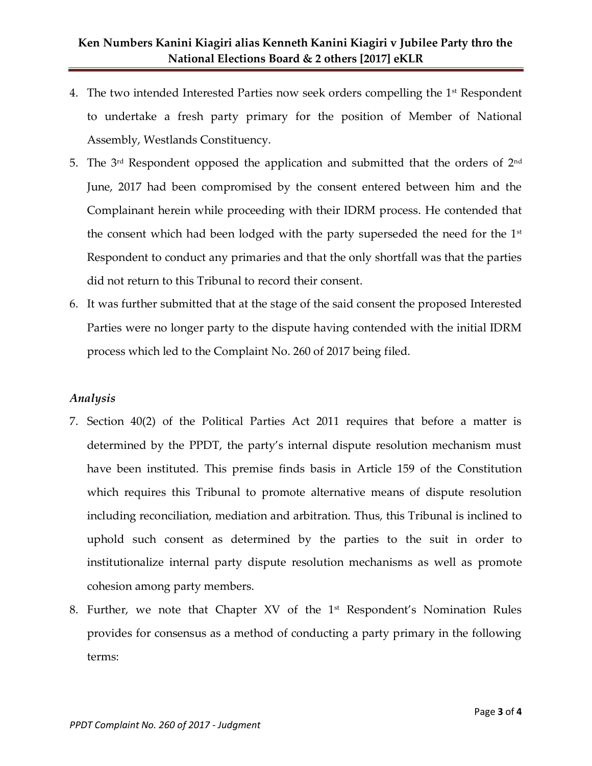## **Ken Numbers Kanini Kiagiri alias Kenneth Kanini Kiagiri v Jubilee Party thro the National Elections Board & 2 others [2017] eKLR**

- 4. The two intended Interested Parties now seek orders compelling the 1<sup>st</sup> Respondent to undertake a fresh party primary for the position of Member of National Assembly, Westlands Constituency.
- 5. The 3rd Respondent opposed the application and submitted that the orders of 2nd June, 2017 had been compromised by the consent entered between him and the Complainant herein while proceeding with their IDRM process. He contended that the consent which had been lodged with the party superseded the need for the  $1<sup>st</sup>$ Respondent to conduct any primaries and that the only shortfall was that the parties did not return to this Tribunal to record their consent.
- 6. It was further submitted that at the stage of the said consent the proposed Interested Parties were no longer party to the dispute having contended with the initial IDRM process which led to the Complaint No. 260 of 2017 being filed.

#### *Analysis*

- 7. Section 40(2) of the Political Parties Act 2011 requires that before a matter is determined by the PPDT, the party's internal dispute resolution mechanism must have been instituted. This premise finds basis in Article 159 of the Constitution which requires this Tribunal to promote alternative means of dispute resolution including reconciliation, mediation and arbitration. Thus, this Tribunal is inclined to uphold such consent as determined by the parties to the suit in order to institutionalize internal party dispute resolution mechanisms as well as promote cohesion among party members.
- 8. Further, we note that Chapter XV of the  $1<sup>st</sup>$  Respondent's Nomination Rules provides for consensus as a method of conducting a party primary in the following terms: